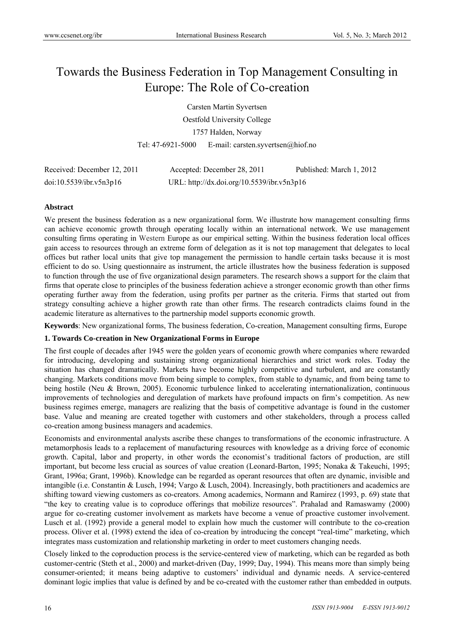# Towards the Business Federation in Top Management Consulting in Europe: The Role of Co-creation

Carsten Martin Syvertsen Oestfold University College 1757 Halden, Norway

Tel: 47-6921-5000 E-mail: carsten.syvertsen@hiof.no

| Received: December 12, 2011 | Accepted: December 28, 2011                | Published: March 1, 2012 |
|-----------------------------|--------------------------------------------|--------------------------|
| doi:10.5539/ibr.v5n3p16     | URL: http://dx.doi.org/10.5539/ibr.v5n3p16 |                          |

### **Abstract**

We present the business federation as a new organizational form. We illustrate how management consulting firms can achieve economic growth through operating locally within an international network. We use management consulting firms operating in Western Europe as our empirical setting. Within the business federation local offices gain access to resources through an extreme form of delegation as it is not top management that delegates to local offices but rather local units that give top management the permission to handle certain tasks because it is most efficient to do so. Using questionnaire as instrument, the article illustrates how the business federation is supposed to function through the use of five organizational design parameters. The research shows a support for the claim that firms that operate close to principles of the business federation achieve a stronger economic growth than other firms operating further away from the federation, using profits per partner as the criteria. Firms that started out from strategy consulting achieve a higher growth rate than other firms. The research contradicts claims found in the academic literature as alternatives to the partnership model supports economic growth.

**Keywords**: New organizational forms, The business federation, Co-creation, Management consulting firms, Europe

### **1. Towards Co-creation in New Organizational Forms in Europe**

The first couple of decades after 1945 were the golden years of economic growth where companies where rewarded for introducing, developing and sustaining strong organizational hierarchies and strict work roles. Today the situation has changed dramatically. Markets have become highly competitive and turbulent, and are constantly changing. Markets conditions move from being simple to complex, from stable to dynamic, and from being tame to being hostile (Neu & Brown, 2005). Economic turbulence linked to accelerating internationalization, continuous improvements of technologies and deregulation of markets have profound impacts on firm's competition. As new business regimes emerge, managers are realizing that the basis of competitive advantage is found in the customer base. Value and meaning are created together with customers and other stakeholders, through a process called co-creation among business managers and academics.

Economists and environmental analysts ascribe these changes to transformations of the economic infrastructure. A metamorphosis leads to a replacement of manufacturing resources with knowledge as a driving force of economic growth. Capital, labor and property, in other words the economist's traditional factors of production, are still important, but become less crucial as sources of value creation (Leonard-Barton, 1995; Nonaka & Takeuchi, 1995; Grant, 1996a; Grant, 1996b). Knowledge can be regarded as operant resources that often are dynamic, invisible and intangible (i.e. Constantin & Lusch, 1994; Vargo & Lusch, 2004). Increasingly, both practitioners and academics are shifting toward viewing customers as co-creators. Among academics, Normann and Ramirez (1993, p. 69) state that "the key to creating value is to coproduce offerings that mobilize resources". Prahalad and Ramaswamy (2000) argue for co-creating customer involvement as markets have become a venue of proactive customer involvement. Lusch et al. (1992) provide a general model to explain how much the customer will contribute to the co-creation process. Oliver et al. (1998) extend the idea of co-creation by introducing the concept "real-time" marketing, which integrates mass customization and relationship marketing in order to meet customers changing needs.

Closely linked to the coproduction process is the service-centered view of marketing, which can be regarded as both customer-centric (Steth et al., 2000) and market-driven (Day, 1999; Day, 1994). This means more than simply being consumer-oriented; it means being adaptive to customers' individual and dynamic needs. A service-centered dominant logic implies that value is defined by and be co-created with the customer rather than embedded in outputs.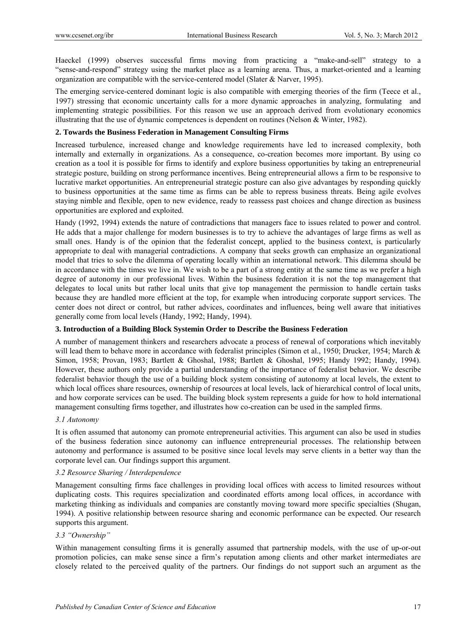Haeckel (1999) observes successful firms moving from practicing a "make-and-sell" strategy to a "sense-and-respond" strategy using the market place as a learning arena. Thus, a market-oriented and a learning organization are compatible with the service-centered model (Slater  $\&$  Narver, 1995).

The emerging service-centered dominant logic is also compatible with emerging theories of the firm (Teece et al., 1997) stressing that economic uncertainty calls for a more dynamic approaches in analyzing, formulating and implementing strategic possibilities. For this reason we use an approach derived from evolutionary economics illustrating that the use of dynamic competences is dependent on routines (Nelson & Winter, 1982).

## **2. Towards the Business Federation in Management Consulting Firms**

Increased turbulence, increased change and knowledge requirements have led to increased complexity, both internally and externally in organizations. As a consequence, co-creation becomes more important. By using co creation as a tool it is possible for firms to identify and explore business opportunities by taking an entrepreneurial strategic posture, building on strong performance incentives. Being entrepreneurial allows a firm to be responsive to lucrative market opportunities. An entrepreneurial strategic posture can also give advantages by responding quickly to business opportunities at the same time as firms can be able to repress business threats. Being agile evolves staying nimble and flexible, open to new evidence, ready to reassess past choices and change direction as business opportunities are explored and exploited.

Handy (1992, 1994) extends the nature of contradictions that managers face to issues related to power and control. He adds that a major challenge for modern businesses is to try to achieve the advantages of large firms as well as small ones. Handy is of the opinion that the federalist concept, applied to the business context, is particularly appropriate to deal with managerial contradictions. A company that seeks growth can emphasize an organizational model that tries to solve the dilemma of operating locally within an international network. This dilemma should be in accordance with the times we live in. We wish to be a part of a strong entity at the same time as we prefer a high degree of autonomy in our professional lives. Within the business federation it is not the top management that delegates to local units but rather local units that give top management the permission to handle certain tasks because they are handled more efficient at the top, for example when introducing corporate support services. The center does not direct or control, but rather advices, coordinates and influences, being well aware that initiatives generally come from local levels (Handy, 1992; Handy, 1994).

### **3. Introduction of a Building Block Systemin Order to Describe the Business Federation**

A number of management thinkers and researchers advocate a process of renewal of corporations which inevitably will lead them to behave more in accordance with federalist principles (Simon et al., 1950; Drucker, 1954; March & Simon, 1958; Provan, 1983; Bartlett & Ghoshal, 1988; Bartlett & Ghoshal, 1995; Handy 1992; Handy, 1994). However, these authors only provide a partial understanding of the importance of federalist behavior. We describe federalist behavior though the use of a building block system consisting of autonomy at local levels, the extent to which local offices share resources, ownership of resources at local levels, lack of hierarchical control of local units, and how corporate services can be used. The building block system represents a guide for how to hold international management consulting firms together, and illustrates how co-creation can be used in the sampled firms.

### *3.1 Autonomy*

It is often assumed that autonomy can promote entrepreneurial activities. This argument can also be used in studies of the business federation since autonomy can influence entrepreneurial processes. The relationship between autonomy and performance is assumed to be positive since local levels may serve clients in a better way than the corporate level can. Our findings support this argument.

### *3.2 Resource Sharing / Interdependence*

Management consulting firms face challenges in providing local offices with access to limited resources without duplicating costs. This requires specialization and coordinated efforts among local offices, in accordance with marketing thinking as individuals and companies are constantly moving toward more specific specialties (Shugan, 1994). A positive relationship between resource sharing and economic performance can be expected. Our research supports this argument.

# *3.3 "Ownership"*

Within management consulting firms it is generally assumed that partnership models, with the use of up-or-out promotion policies, can make sense since a firm's reputation among clients and other market intermediates are closely related to the perceived quality of the partners. Our findings do not support such an argument as the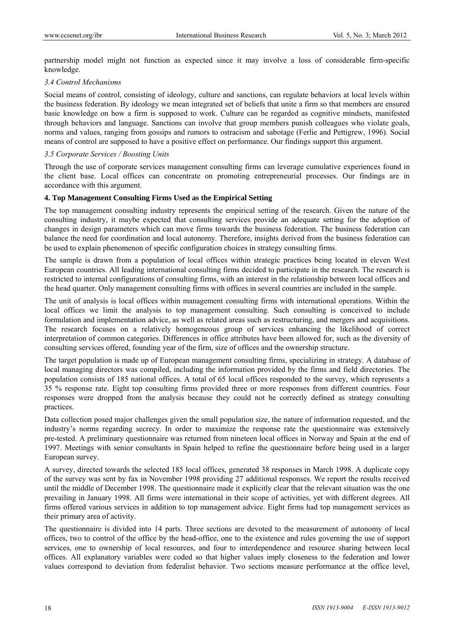partnership model might not function as expected since it may involve a loss of considerable firm-specific knowledge.

#### *3.4 Control Mechanisms*

Social means of control, consisting of ideology, culture and sanctions, can regulate behaviors at local levels within the business federation. By ideology we mean integrated set of beliefs that unite a firm so that members are ensured basic knowledge on how a firm is supposed to work. Culture can be regarded as cognitive mindsets, manifested through behaviors and language. Sanctions can involve that group members punish colleagues who violate goals, norms and values, ranging from gossips and rumors to ostracism and sabotage (Ferlie and Pettigrew, 1996). Social means of control are supposed to have a positive effect on performance. Our findings support this argument.

#### *3.5 Corporate Services / Boosting Units*

Through the use of corporate services management consulting firms can leverage cumulative experiences found in the client base. Local offices can concentrate on promoting entrepreneurial processes. Our findings are in accordance with this argument.

#### **4. Top Management Consulting Firms Used as the Empirical Setting**

The top management consulting industry represents the empirical setting of the research. Given the nature of the consulting industry, it maybe expected that consulting services provide an adequate setting for the adoption of changes in design parameters which can move firms towards the business federation. The business federation can balance the need for coordination and local autonomy. Therefore, insights derived from the business federation can be used to explain phenomenon of specific configuration choices in strategy consulting firms.

The sample is drawn from a population of local offices within strategic practices being located in eleven West European countries. All leading international consulting firms decided to participate in the research. The research is restricted to internal configurations of consulting firms, with an interest in the relationship between local offices and the head quarter. Only management consulting firms with offices in several countries are included in the sample.

The unit of analysis is local offices within management consulting firms with international operations. Within the local offices we limit the analysis to top management consulting. Such consulting is conceived to include formulation and implementation advice, as well as related areas such as restructuring, and mergers and acquisitions. The research focuses on a relatively homogeneous group of services enhancing the likelihood of correct interpretation of common categories. Differences in office attributes have been allowed for, such as the diversity of consulting services offered, founding year of the firm, size of offices and the ownership structure.

The target population is made up of European management consulting firms, specializing in strategy. A database of local managing directors was compiled, including the information provided by the firms and field directories. The population consists of 185 national offices. A total of 65 local offices responded to the survey, which represents a 35 % response rate. Eight top consulting firms provided three or more responses from different countries. Four responses were dropped from the analysis because they could not be correctly defined as strategy consulting practices.

Data collection posed major challenges given the small population size, the nature of information requested, and the industry's norms regarding secrecy. In order to maximize the response rate the questionnaire was extensively pre-tested. A preliminary questionnaire was returned from nineteen local offices in Norway and Spain at the end of 1997. Meetings with senior consultants in Spain helped to refine the questionnaire before being used in a larger European survey.

A survey, directed towards the selected 185 local offices, generated 38 responses in March 1998. A duplicate copy of the survey was sent by fax in November 1998 providing 27 additional responses. We report the results received until the middle of December 1998. The questionnaire made it explicitly clear that the relevant situation was the one prevailing in January 1998. All firms were international in their scope of activities, yet with different degrees. All firms offered various services in addition to top management advice. Eight firms had top management services as their primary area of activity.

The questionnaire is divided into 14 parts. Three sections are devoted to the measurement of autonomy of local offices, two to control of the office by the head-office, one to the existence and rules governing the use of support services, one to ownership of local resources, and four to interdependence and resource sharing between local offices. All explanatory variables were coded so that higher values imply closeness to the federation and lower values correspond to deviation from federalist behavior. Two sections measure performance at the office level,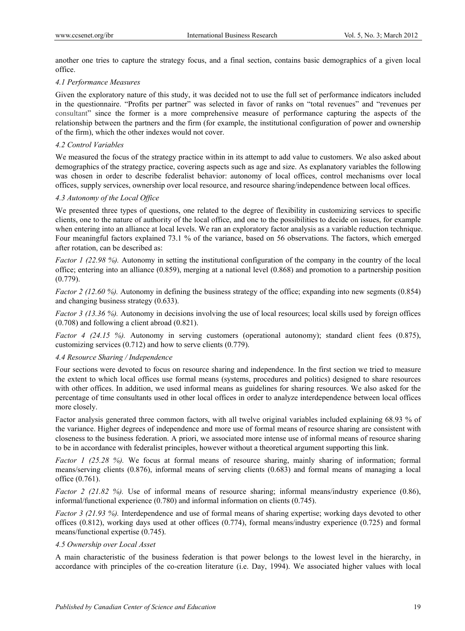another one tries to capture the strategy focus, and a final section, contains basic demographics of a given local office.

## *4.1 Performance Measures*

Given the exploratory nature of this study, it was decided not to use the full set of performance indicators included in the questionnaire. "Profits per partner" was selected in favor of ranks on "total revenues" and "revenues per consultant" since the former is a more comprehensive measure of performance capturing the aspects of the relationship between the partners and the firm (for example, the institutional configuration of power and ownership of the firm), which the other indexes would not cover.

# *4.2 Control Variables*

We measured the focus of the strategy practice within in its attempt to add value to customers. We also asked about demographics of the strategy practice, covering aspects such as age and size. As explanatory variables the following was chosen in order to describe federalist behavior: autonomy of local offices, control mechanisms over local offices, supply services, ownership over local resource, and resource sharing/independence between local offices.

# *4.3 Autonomy of the Local Office*

We presented three types of questions, one related to the degree of flexibility in customizing services to specific clients, one to the nature of authority of the local office, and one to the possibilities to decide on issues, for example when entering into an alliance at local levels. We ran an exploratory factor analysis as a variable reduction technique. Four meaningful factors explained 73.1 % of the variance, based on 56 observations. The factors, which emerged after rotation, can be described as:

*Factor 1 (22.98 %).* Autonomy in setting the institutional configuration of the company in the country of the local office; entering into an alliance (0.859), merging at a national level (0.868) and promotion to a partnership position (0.779).

*Factor 2 (12.60 %).* Autonomy in defining the business strategy of the office; expanding into new segments (0.854) and changing business strategy (0.633).

*Factor 3 (13.36 %).* Autonomy in decisions involving the use of local resources; local skills used by foreign offices (0.708) and following a client abroad (0.821).

*Factor 4 (24.15 %).* Autonomy in serving customers (operational autonomy); standard client fees (0.875), customizing services (0.712) and how to serve clients (0.779).

### *4.4 Resource Sharing / Independence*

Four sections were devoted to focus on resource sharing and independence. In the first section we tried to measure the extent to which local offices use formal means (systems, procedures and politics) designed to share resources with other offices. In addition, we used informal means as guidelines for sharing resources. We also asked for the percentage of time consultants used in other local offices in order to analyze interdependence between local offices more closely.

Factor analysis generated three common factors, with all twelve original variables included explaining 68.93 % of the variance. Higher degrees of independence and more use of formal means of resource sharing are consistent with closeness to the business federation. A priori, we associated more intense use of informal means of resource sharing to be in accordance with federalist principles, however without a theoretical argument supporting this link.

*Factor 1 (25.28 %).* We focus at formal means of resource sharing, mainly sharing of information; formal means/serving clients (0.876), informal means of serving clients (0.683) and formal means of managing a local office (0.761).

*Factor 2 (21.82 %).* Use of informal means of resource sharing; informal means/industry experience (0.86), informal/functional experience (0.780) and informal information on clients (0.745).

*Factor 3 (21.93 %).* Interdependence and use of formal means of sharing expertise; working days devoted to other offices (0.812), working days used at other offices (0.774), formal means/industry experience (0.725) and formal means/functional expertise (0.745).

### *4.5 Ownership over Local Asset*

A main characteristic of the business federation is that power belongs to the lowest level in the hierarchy, in accordance with principles of the co-creation literature (i.e. Day, 1994). We associated higher values with local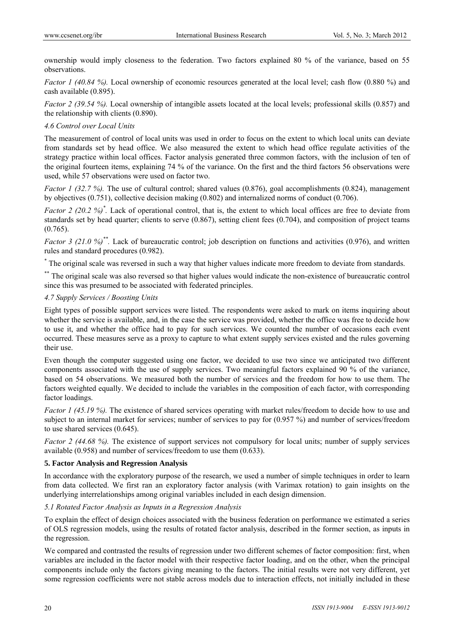ownership would imply closeness to the federation. Two factors explained 80 % of the variance, based on 55 observations.

*Factor 1 (40.84 %).* Local ownership of economic resources generated at the local level; cash flow (0.880 %) and cash available (0.895).

*Factor 2 (39.54 %).* Local ownership of intangible assets located at the local levels; professional skills (0.857) and the relationship with clients (0.890).

## *4.6 Control over Local Units*

The measurement of control of local units was used in order to focus on the extent to which local units can deviate from standards set by head office. We also measured the extent to which head office regulate activities of the strategy practice within local offices. Factor analysis generated three common factors, with the inclusion of ten of the original fourteen items, explaining 74 % of the variance. On the first and the third factors 56 observations were used, while 57 observations were used on factor two.

*Factor 1 (32.7 %).* The use of cultural control; shared values (0.876), goal accomplishments (0.824), management by objectives (0.751), collective decision making (0.802) and internalized norms of conduct (0.706).

*Factor 2 (20.2 %)*<sup>\*</sup>. Lack of operational control, that is, the extent to which local offices are free to deviate from standards set by head quarter; clients to serve (0.867), setting client fees (0.704), and composition of project teams  $(0.765)$ .

*Factor 3 (21.0 %)\*\*.* Lack of bureaucratic control; job description on functions and activities (0.976), and written rules and standard procedures (0.982).

\* The original scale was reversed in such a way that higher values indicate more freedom to deviate from standards.

\*\* The original scale was also reversed so that higher values would indicate the non-existence of bureaucratic control since this was presumed to be associated with federated principles.

### *4.7 Supply Services / Boosting Units*

Eight types of possible support services were listed. The respondents were asked to mark on items inquiring about whether the service is available, and, in the case the service was provided, whether the office was free to decide how to use it, and whether the office had to pay for such services. We counted the number of occasions each event occurred. These measures serve as a proxy to capture to what extent supply services existed and the rules governing their use.

Even though the computer suggested using one factor, we decided to use two since we anticipated two different components associated with the use of supply services. Two meaningful factors explained 90 % of the variance, based on 54 observations. We measured both the number of services and the freedom for how to use them. The factors weighted equally. We decided to include the variables in the composition of each factor, with corresponding factor loadings.

*Factor 1 (45.19 %).* The existence of shared services operating with market rules/freedom to decide how to use and subject to an internal market for services; number of services to pay for (0.957 %) and number of services/freedom to use shared services (0.645).

*Factor 2 (44.68 %).* The existence of support services not compulsory for local units; number of supply services available (0.958) and number of services/freedom to use them (0.633).

### **5. Factor Analysis and Regression Analysis**

In accordance with the exploratory purpose of the research, we used a number of simple techniques in order to learn from data collected. We first ran an exploratory factor analysis (with Varimax rotation) to gain insights on the underlying interrelationships among original variables included in each design dimension.

### *5.1 Rotated Factor Analysis as Inputs in a Regression Analysis*

To explain the effect of design choices associated with the business federation on performance we estimated a series of OLS regression models, using the results of rotated factor analysis, described in the former section, as inputs in the regression.

We compared and contrasted the results of regression under two different schemes of factor composition: first, when variables are included in the factor model with their respective factor loading, and on the other, when the principal components include only the factors giving meaning to the factors. The initial results were not very different, yet some regression coefficients were not stable across models due to interaction effects, not initially included in these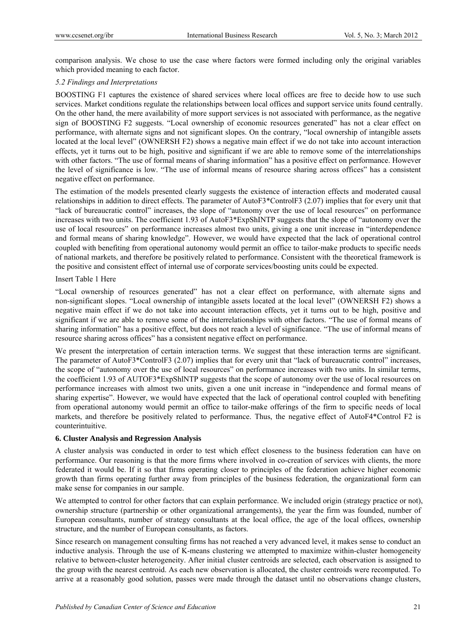comparison analysis. We chose to use the case where factors were formed including only the original variables which provided meaning to each factor.

# *5.2 Findings and Interpretations*

BOOSTING F1 captures the existence of shared services where local offices are free to decide how to use such services. Market conditions regulate the relationships between local offices and support service units found centrally. On the other hand, the mere availability of more support services is not associated with performance, as the negative sign of BOOSTING F2 suggests. "Local ownership of economic resources generated" has not a clear effect on performance, with alternate signs and not significant slopes. On the contrary, "local ownership of intangible assets located at the local level" (OWNERSH F2) shows a negative main effect if we do not take into account interaction effects, yet it turns out to be high, positive and significant if we are able to remove some of the interrelationships with other factors. "The use of formal means of sharing information" has a positive effect on performance. However the level of significance is low. "The use of informal means of resource sharing across offices" has a consistent negative effect on performance.

The estimation of the models presented clearly suggests the existence of interaction effects and moderated causal relationships in addition to direct effects. The parameter of AutoF3\*ControlF3 (2.07) implies that for every unit that "lack of bureaucratic control" increases, the slope of "autonomy over the use of local resources" on performance increases with two units. The coefficient 1.93 of AutoF3\*ExpShINTP suggests that the slope of "autonomy over the use of local resources" on performance increases almost two units, giving a one unit increase in "interdependence and formal means of sharing knowledge". However, we would have expected that the lack of operational control coupled with benefiting from operational autonomy would permit an office to tailor-make products to specific needs of national markets, and therefore be positively related to performance. Consistent with the theoretical framework is the positive and consistent effect of internal use of corporate services/boosting units could be expected.

# Insert Table 1 Here

"Local ownership of resources generated" has not a clear effect on performance, with alternate signs and non-significant slopes. "Local ownership of intangible assets located at the local level" (OWNERSH F2) shows a negative main effect if we do not take into account interaction effects, yet it turns out to be high, positive and significant if we are able to remove some of the interrelationships with other factors. "The use of formal means of sharing information" has a positive effect, but does not reach a level of significance. "The use of informal means of resource sharing across offices" has a consistent negative effect on performance.

We present the interpretation of certain interaction terms. We suggest that these interaction terms are significant. The parameter of AutoF3\*ControlF3 (2.07) implies that for every unit that "lack of bureaucratic control" increases, the scope of "autonomy over the use of local resources" on performance increases with two units. In similar terms, the coefficient 1.93 of AUTOF3\*ExpShlNTP suggests that the scope of autonomy over the use of local resources on performance increases with almost two units, given a one unit increase in "independence and formal means of sharing expertise". However, we would have expected that the lack of operational control coupled with benefiting from operational autonomy would permit an office to tailor-make offerings of the firm to specific needs of local markets, and therefore be positively related to performance. Thus, the negative effect of AutoF4\*Control F2 is counterintuitive.

### **6. Cluster Analysis and Regression Analysis**

A cluster analysis was conducted in order to test which effect closeness to the business federation can have on performance. Our reasoning is that the more firms where involved in co-creation of services with clients, the more federated it would be. If it so that firms operating closer to principles of the federation achieve higher economic growth than firms operating further away from principles of the business federation, the organizational form can make sense for companies in our sample.

We attempted to control for other factors that can explain performance. We included origin (strategy practice or not), ownership structure (partnership or other organizational arrangements), the year the firm was founded, number of European consultants, number of strategy consultants at the local office, the age of the local offices, ownership structure, and the number of European consultants, as factors.

Since research on management consulting firms has not reached a very advanced level, it makes sense to conduct an inductive analysis. Through the use of K-means clustering we attempted to maximize within-cluster homogeneity relative to between-cluster heterogeneity. After initial cluster centroids are selected, each observation is assigned to the group with the nearest centroid. As each new observation is allocated, the cluster centroids were recomputed. To arrive at a reasonably good solution, passes were made through the dataset until no observations change clusters,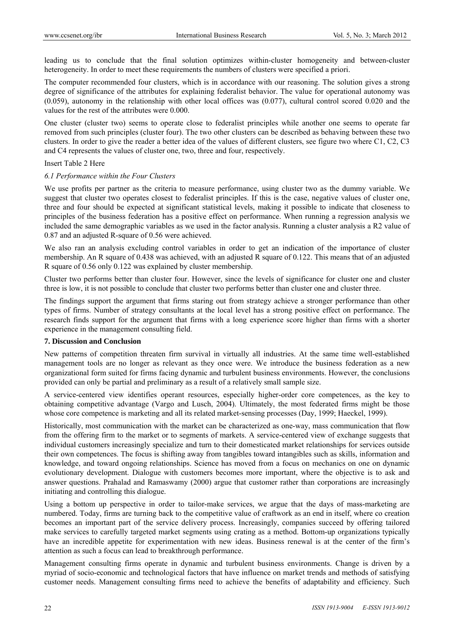leading us to conclude that the final solution optimizes within-cluster homogeneity and between-cluster heterogeneity. In order to meet these requirements the numbers of clusters were specified a priori.

The computer recommended four clusters, which is in accordance with our reasoning. The solution gives a strong degree of significance of the attributes for explaining federalist behavior. The value for operational autonomy was (0.059), autonomy in the relationship with other local offices was (0.077), cultural control scored 0.020 and the values for the rest of the attributes were 0.000.

One cluster (cluster two) seems to operate close to federalist principles while another one seems to operate far removed from such principles (cluster four). The two other clusters can be described as behaving between these two clusters. In order to give the reader a better idea of the values of different clusters, see figure two where C1, C2, C3 and C4 represents the values of cluster one, two, three and four, respectively.

#### Insert Table 2 Here

#### *6.1 Performance within the Four Clusters*

We use profits per partner as the criteria to measure performance, using cluster two as the dummy variable. We suggest that cluster two operates closest to federalist principles. If this is the case, negative values of cluster one, three and four should be expected at significant statistical levels, making it possible to indicate that closeness to principles of the business federation has a positive effect on performance. When running a regression analysis we included the same demographic variables as we used in the factor analysis. Running a cluster analysis a R2 value of 0.87 and an adjusted R-square of 0.56 were achieved.

We also ran an analysis excluding control variables in order to get an indication of the importance of cluster membership. An R square of 0.438 was achieved, with an adjusted R square of 0.122. This means that of an adjusted R square of 0.56 only 0.122 was explained by cluster membership.

Cluster two performs better than cluster four. However, since the levels of significance for cluster one and cluster three is low, it is not possible to conclude that cluster two performs better than cluster one and cluster three.

The findings support the argument that firms staring out from strategy achieve a stronger performance than other types of firms. Number of strategy consultants at the local level has a strong positive effect on performance. The research finds support for the argument that firms with a long experience score higher than firms with a shorter experience in the management consulting field.

### **7. Discussion and Conclusion**

New patterns of competition threaten firm survival in virtually all industries. At the same time well-established management tools are no longer as relevant as they once were. We introduce the business federation as a new organizational form suited for firms facing dynamic and turbulent business environments. However, the conclusions provided can only be partial and preliminary as a result of a relatively small sample size.

A service-centered view identifies operant resources, especially higher-order core competences, as the key to obtaining competitive advantage (Vargo and Lusch, 2004). Ultimately, the most federated firms might be those whose core competence is marketing and all its related market-sensing processes (Day, 1999; Haeckel, 1999).

Historically, most communication with the market can be characterized as one-way, mass communication that flow from the offering firm to the market or to segments of markets. A service-centered view of exchange suggests that individual customers increasingly specialize and turn to their domesticated market relationships for services outside their own competences. The focus is shifting away from tangibles toward intangibles such as skills, information and knowledge, and toward ongoing relationships. Science has moved from a focus on mechanics on one on dynamic evolutionary development. Dialogue with customers becomes more important, where the objective is to ask and answer questions. Prahalad and Ramaswamy (2000) argue that customer rather than corporations are increasingly initiating and controlling this dialogue.

Using a bottom up perspective in order to tailor-make services, we argue that the days of mass-marketing are numbered. Today, firms are turning back to the competitive value of craftwork as an end in itself, where co creation becomes an important part of the service delivery process. Increasingly, companies succeed by offering tailored make services to carefully targeted market segments using crating as a method. Bottom-up organizations typically have an incredible appetite for experimentation with new ideas. Business renewal is at the center of the firm's attention as such a focus can lead to breakthrough performance.

Management consulting firms operate in dynamic and turbulent business environments. Change is driven by a myriad of socio-economic and technological factors that have influence on market trends and methods of satisfying customer needs. Management consulting firms need to achieve the benefits of adaptability and efficiency. Such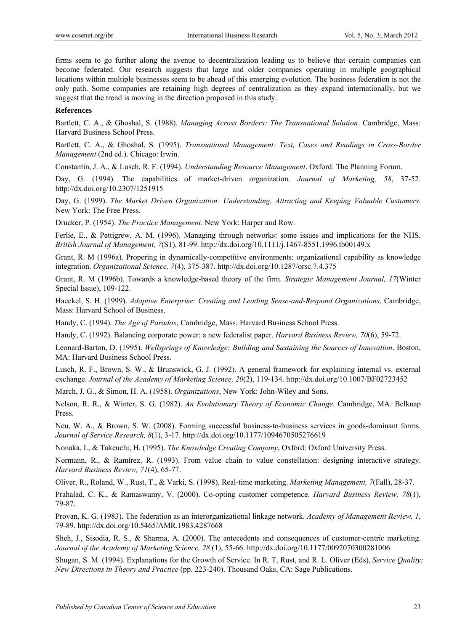firms seem to go further along the avenue to decentralization leading us to believe that certain companies can become federated. Our research suggests that large and older companies operating in multiple geographical locations within multiple businesses seem to be ahead of this emerging evolution. The business federation is not the only path. Some companies are retaining high degrees of centralization as they expand internationally, but we suggest that the trend is moving in the direction proposed in this study.

### **References**

Bartlett, C. A., & Ghoshal, S. (1988). *Managing Across Borders: The Transnational Solution*. Cambridge, Mass: Harvard Business School Press.

Bartlett, C. A., & Ghoshal, S. (1995). *Transnational Management: Text, Cases and Readings in Cross-Border Management* (2nd ed.). Chicago: Irwin.

Constantin, J. A., & Lusch, R. F. (1994). *Understanding Resource Management*. Oxford: The Planning Forum.

Day, G. (1994). The capabilities of market-driven organization. *Journal of Marketing, 58*, 37-52. http://dx.doi.org/10.2307/1251915

Day, G. (1999). *The Market Driven Organization: Understanding, Attracting and Keeping Valuable Customers*. New York: The Free Press.

Drucker, P. (1954). *The Practice Management*. New York: Harper and Row.

Ferlie, E., & Pettigrew, A. M. (1996). Managing through networks: some issues and implications for the NHS. *British Journal of Management, 7*(S1), 81-99. http://dx.doi.org/10.1111/j.1467-8551.1996.tb00149.x

Grant, R. M (1996a). Propering in dynamically-competitive environments: organizational capability as knowledge integration. *Organizational Science, 7*(4), 375-387. http://dx.doi.org/10.1287/orsc.7.4.375

Grant, R. M (1996b). Towards a knowledge-based theory of the firm. *Strategic Management Journal, 17*(Winter Special Issue), 109-122.

Haeckel, S. H. (1999). *Adaptive Enterprise: Creating and Leading Sense-and-Respond Organizations*. Cambridge, Mass: Harvard School of Business.

Handy, C. (1994). *The Age of Paradox*, Cambridge, Mass: Harvard Business School Press.

Handy, C. (1992). Balancing corporate power: a new federalist paper. *Harvard Business Review, 70*(6), 59-72.

Leonard-Barton, D. (1995). *Wellsprings of Knowledge: Building and Sustaining the Sources of Innovation*. Boston, MA: Harvard Business School Press.

Lusch, R. F., Brown, S. W., & Brunswick, G. J. (1992). A general framework for explaining internal vs. external exchange. *Journal of the Academy of Marketing Science, 20*(2), 119-134. http://dx.doi.org/10.1007/BF02723452

March, J. G., & Simon, H. A. (1958). *Organizations*, New York: John-Wiley and Sons.

Nelson, R. R., & Winter, S. G. (1982). *An Evolutionary Theory of Economic Change*. Cambridge, MA: Belknap Press.

Neu, W. A., & Brown, S. W. (2008). Forming successful business-to-business services in goods-dominant forms. *Journal of Service Research, 8*(1), 3-17. http://dx.doi.org/10.1177/1094670505276619

Nonaka, I., & Takeuchi, H. (1995). *The Knowledge Creating Company*, Oxford: Oxford University Press.

Normann, R., & Ramírez, R. (1993). From value chain to value constellation: designing interactive strategy. *Harvard Business Review, 71*(4), 65-77.

Oliver, R., Roland, W., Rust, T., & Varki, S. (1998). Real-time marketing. *Marketing Management, 7*(Fall), 28-37.

Prahalad, C. K., & Ramaswamy, V. (2000). Co-opting customer competence. *Harvard Business Review, 78*(1), 79-87.

Provan, K. G. (1983). The federation as an interorganizational linkage network. *Academy of Management Review, 1*, 79-89. http://dx.doi.org/10.5465/AMR.1983.4287668

Sheh, J., Sisodia, R. S., & Sharma, A. (2000). The antecedents and consequences of customer-centric marketing. *Journal of the Academy of Marketing Science, 28* (1), 55-66. http://dx.doi.org/10.1177/0092070300281006

Shugan, S. M. (1994). Explanations for the Growth of Service. In R. T. Rust, and R. L. Oliver (Eds), *Service Quality: New Directions in Theory and Practice* (pp. 223-240). Thousand Oaks, CA: Sage Publications.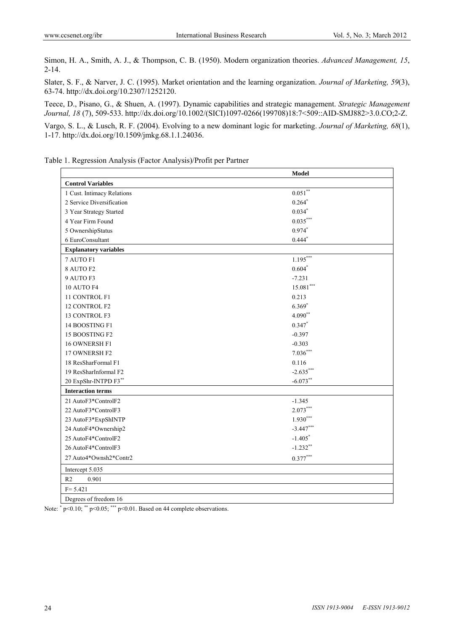Simon, H. A., Smith, A. J., & Thompson, C. B. (1950). Modern organization theories. *Advanced Management, 15*, 2-14.

Slater, S. F., & Narver, J. C. (1995). Market orientation and the learning organization. *Journal of Marketing, 59*(3), 63-74. http://dx.doi.org/10.2307/1252120.

Teece, D., Pisano, G., & Shuen, A. (1997). Dynamic capabilities and strategic management. *Strategic Management Journal, 18* (7), 509-533. http://dx.doi.org/10.1002/(SICI)1097-0266(199708)18:7<509::AID-SMJ882>3.0.CO;2-Z.

Vargo, S. L., & Lusch, R. F. (2004). Evolving to a new dominant logic for marketing. *Journal of Marketing, 68*(1), 1-17. http://dx.doi.org/10.1509/jmkg.68.1.1.24036.

Table 1. Regression Analysis (Factor Analysis)/Profit per Partner

|                              | <b>Model</b>          |  |  |
|------------------------------|-----------------------|--|--|
| <b>Control Variables</b>     |                       |  |  |
| 1 Cust. Intimacy Relations   | $0.051^{**}$          |  |  |
| 2 Service Diversification    | $0.264*$              |  |  |
| 3 Year Strategy Started      | $0.034*$              |  |  |
| 4 Year Firm Found            | $0.035***$            |  |  |
| 5 OwnershipStatus            | $0.974*$              |  |  |
| 6 EuroConsultant             | $0.444*$              |  |  |
| <b>Explanatory variables</b> |                       |  |  |
| 7 AUTO F1                    | $1.195***$            |  |  |
| 8 AUTO F2                    | $0.604*$              |  |  |
| 9 AUTO F3                    | $-7.231$              |  |  |
| 10 AUTO F4                   | $15.081***$           |  |  |
| 11 CONTROL F1                | 0.213                 |  |  |
| 12 CONTROL F2                | $6.369*$              |  |  |
| 13 CONTROL F3                | $4.090**$             |  |  |
| 14 BOOSTING F1               | $0.347*$              |  |  |
| 15 BOOSTING F2               | $-0.397$              |  |  |
| 16 OWNERSH F1                | $-0.303$              |  |  |
| 17 OWNERSH F2                | $7.036***$            |  |  |
| 18 ResSharFormal F1          | 0.116                 |  |  |
| 19 ResSharInformal F2        | $-2.635***$           |  |  |
| 20 ExpShr-INTPD F3**         | $-6.073**$            |  |  |
| <b>Interaction terms</b>     |                       |  |  |
| 21 AutoF3*ControlF2          | $-1.345$              |  |  |
| 22 AutoF3*ControlF3          | $2.073***$            |  |  |
| 23 AutoF3*ExpShINTP          | $1.930***$            |  |  |
| 24 AutoF4*Ownership2         | $-3.447***$           |  |  |
| 25 AutoF4*ControlF2          | $-1.405$ <sup>*</sup> |  |  |
| 26 AutoF4*ControlF3          | $-1.232$ **           |  |  |
| 27 Auto4*Ownsh2*Contr2       | $0.377***$            |  |  |
| Intercept 5.035              |                       |  |  |
| R <sub>2</sub><br>0.901      |                       |  |  |
| $F = 5.421$                  |                       |  |  |
| Degrees of freedom 16        |                       |  |  |

Note:  $*$  p<0.10; \*\* p<0.05; \*\*\* p<0.01. Based on 44 complete observations.